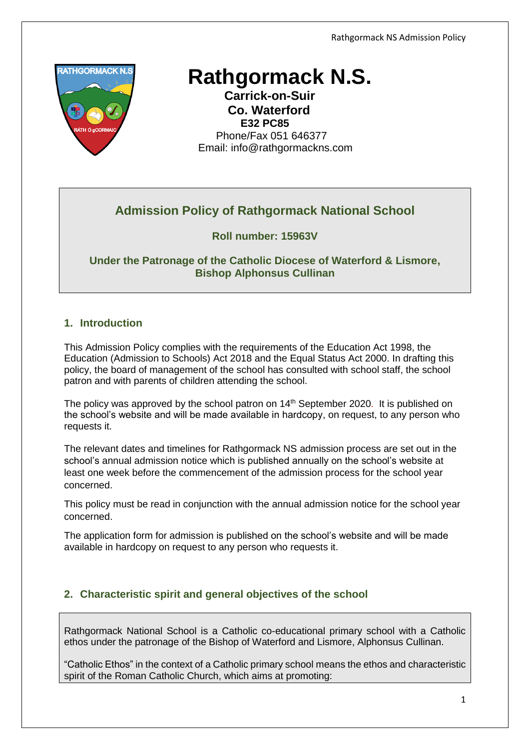

# **Rathgormack N.S.**

 **Carrick-on-Suir Co. Waterford E32 PC85** Phone/Fax 051 646377 Email: [info@rathgormackns.com](mailto:info@rathgormackns.com)

# **Admission Policy of Rathgormack National School**

## **Roll number: 15963V**

**Under the Patronage of the Catholic Diocese of Waterford & Lismore, Bishop Alphonsus Cullinan**

## **1. Introduction**

This Admission Policy complies with the requirements of the Education Act 1998, the Education (Admission to Schools) Act 2018 and the Equal Status Act 2000. In drafting this policy, the board of management of the school has consulted with school staff, the school patron and with parents of children attending the school.

The policy was approved by the school patron on 14<sup>th</sup> September 2020. It is published on the school's website and will be made available in hardcopy, on request, to any person who requests it.

The relevant dates and timelines for Rathgormack NS admission process are set out in the school's annual admission notice which is published annually on the school's website at least one week before the commencement of the admission process for the school year concerned.

This policy must be read in conjunction with the annual admission notice for the school year concerned.

The application form for admission is published on the school's website and will be made available in hardcopy on request to any person who requests it.

# **2. Characteristic spirit and general objectives of the school**

Rathgormack National School is a Catholic co-educational primary school with a Catholic ethos under the patronage of the Bishop of Waterford and Lismore, Alphonsus Cullinan.

"Catholic Ethos" in the context of a Catholic primary school means the ethos and characteristic spirit of the Roman Catholic Church, which aims at promoting: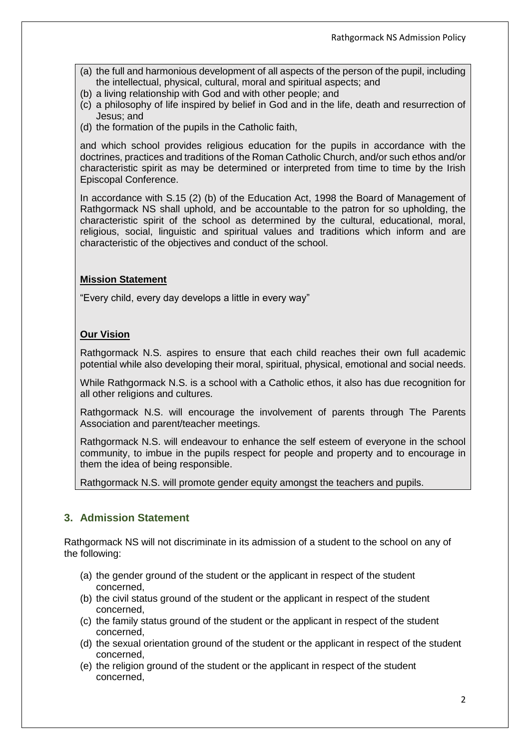- (a) the full and harmonious development of all aspects of the person of the pupil, including the intellectual, physical, cultural, moral and spiritual aspects; and
- (b) a living relationship with God and with other people; and
- (c) a philosophy of life inspired by belief in God and in the life, death and resurrection of Jesus; and
- (d) the formation of the pupils in the Catholic faith,

and which school provides religious education for the pupils in accordance with the doctrines, practices and traditions of the Roman Catholic Church, and/or such ethos and/or characteristic spirit as may be determined or interpreted from time to time by the Irish Episcopal Conference.

In accordance with S.15 (2) (b) of the Education Act, 1998 the Board of Management of Rathgormack NS shall uphold, and be accountable to the patron for so upholding, the characteristic spirit of the school as determined by the cultural, educational, moral, religious, social, linguistic and spiritual values and traditions which inform and are characteristic of the objectives and conduct of the school.

#### **Mission Statement**

"Every child, every day develops a little in every way"

#### **Our Vision**

Rathgormack N.S. aspires to ensure that each child reaches their own full academic potential while also developing their moral, spiritual, physical, emotional and social needs.

While Rathgormack N.S. is a school with a Catholic ethos, it also has due recognition for all other religions and cultures.

Rathgormack N.S. will encourage the involvement of parents through The Parents Association and parent/teacher meetings.

Rathgormack N.S. will endeavour to enhance the self esteem of everyone in the school community, to imbue in the pupils respect for people and property and to encourage in them the idea of being responsible.

Rathgormack N.S. will promote gender equity amongst the teachers and pupils.

#### **3. Admission Statement**

Rathgormack NS will not discriminate in its admission of a student to the school on any of the following:

- (a) the gender ground of the student or the applicant in respect of the student concerned,
- (b) the civil status ground of the student or the applicant in respect of the student concerned,
- (c) the family status ground of the student or the applicant in respect of the student concerned,
- (d) the sexual orientation ground of the student or the applicant in respect of the student concerned,
- (e) the religion ground of the student or the applicant in respect of the student concerned,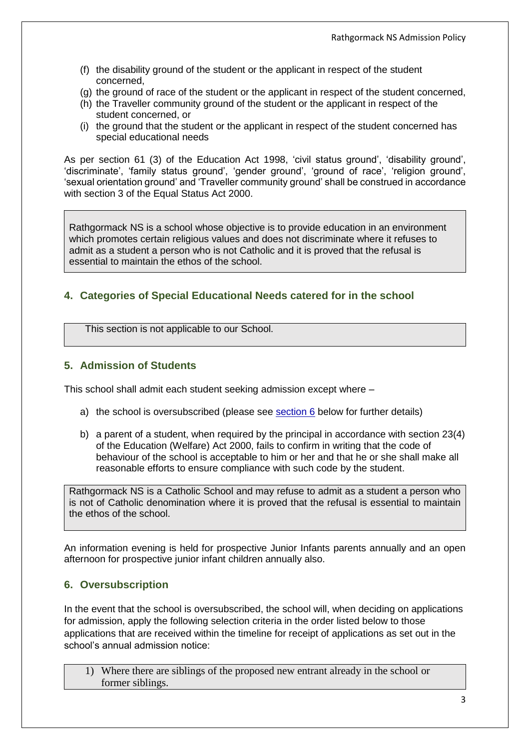- (f) the disability ground of the student or the applicant in respect of the student concerned,
- (g) the ground of race of the student or the applicant in respect of the student concerned,
- (h) the Traveller community ground of the student or the applicant in respect of the student concerned, or
- (i) the ground that the student or the applicant in respect of the student concerned has special educational needs

As per section 61 (3) of the Education Act 1998, 'civil status ground', 'disability ground', 'discriminate', 'family status ground', 'gender ground', 'ground of race', 'religion ground', 'sexual orientation ground' and 'Traveller community ground' shall be construed in accordance with section 3 of the Equal Status Act 2000.

Rathgormack NS is a school whose objective is to provide education in an environment which promotes certain religious values and does not discriminate where it refuses to admit as a student a person who is not Catholic and it is proved that the refusal is essential to maintain the ethos of the school.

# **4. Categories of Special Educational Needs catered for in the school**

This section is not applicable to our School.

#### **5. Admission of Students**

This school shall admit each student seeking admission except where –

- a) the school is oversubscribed (please see section 6 below for further details)
- b) a parent of a student, when required by the principal in accordance with section 23(4) of the Education (Welfare) Act 2000, fails to confirm in writing that the code of behaviour of the school is acceptable to him or her and that he or she shall make all reasonable efforts to ensure compliance with such code by the student.

Rathgormack NS is a Catholic School and may refuse to admit as a student a person who is not of Catholic denomination where it is proved that the refusal is essential to maintain the ethos of the school.

An information evening is held for prospective Junior Infants parents annually and an open afternoon for prospective junior infant children annually also.

# **6. Oversubscription**

In the event that the school is oversubscribed, the school will, when deciding on applications for admission, apply the following selection criteria in the order listed below to those applications that are received within the timeline for receipt of applications as set out in the school's annual admission notice:

1) Where there are siblings of the proposed new entrant already in the school or former siblings.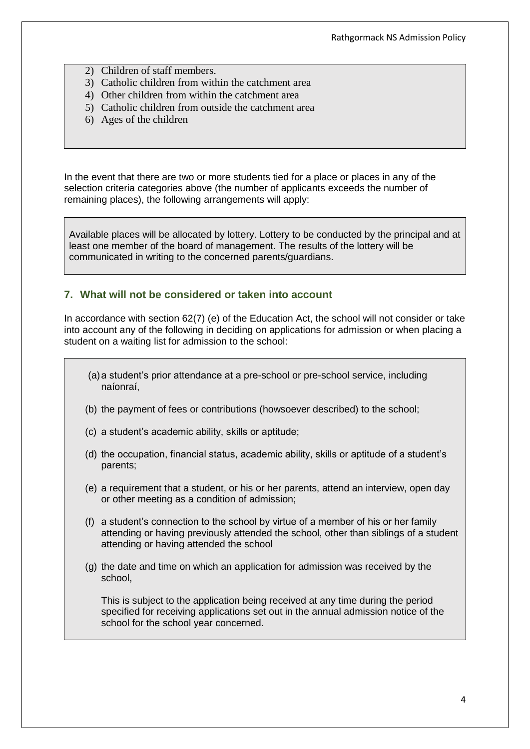- 2) Children of staff members.
- 3) Catholic children from within the catchment area
- 4) Other children from within the catchment area
- 5) Catholic children from outside the catchment area
- 6) Ages of the children

In the event that there are two or more students tied for a place or places in any of the selection criteria categories above (the number of applicants exceeds the number of remaining places), the following arrangements will apply:

Available places will be allocated by lottery. Lottery to be conducted by the principal and at least one member of the board of management. The results of the lottery will be communicated in writing to the concerned parents/guardians.

#### **7. What will not be considered or taken into account**

In accordance with section 62(7) (e) of the Education Act, the school will not consider or take into account any of the following in deciding on applications for admission or when placing a student on a waiting list for admission to the school:

- (a)a student's prior attendance at a pre-school or pre-school service, including naíonraí,
- (b) the payment of fees or contributions (howsoever described) to the school;
- (c) a student's academic ability, skills or aptitude;
- (d) the occupation, financial status, academic ability, skills or aptitude of a student's parents;
- (e) a requirement that a student, or his or her parents, attend an interview, open day or other meeting as a condition of admission;
- (f) a student's connection to the school by virtue of a member of his or her family attending or having previously attended the school, other than siblings of a student attending or having attended the school
- (g) the date and time on which an application for admission was received by the school,

This is subject to the application being received at any time during the period specified for receiving applications set out in the annual admission notice of the school for the school year concerned.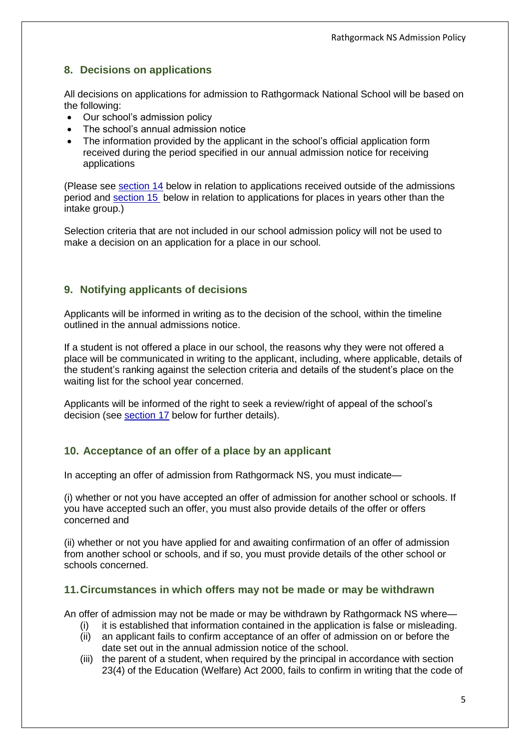# **8. Decisions on applications**

All decisions on applications for admission to Rathgormack National School will be based on the following:

- Our school's admission policy
- The school's annual admission notice
- The information provided by the applicant in the school's official application form received during the period specified in our annual admission notice for receiving applications

(Please see [section 14](#page-6-0) below in relation to applications received outside of the admissions period and [section 15](#page-6-1) below in relation to applications for places in years other than the intake group.)

Selection criteria that are not included in our school admission policy will not be used to make a decision on an application for a place in our school.

#### **9. Notifying applicants of decisions**

Applicants will be informed in writing as to the decision of the school, within the timeline outlined in the annual admissions notice.

If a student is not offered a place in our school, the reasons why they were not offered a place will be communicated in writing to the applicant, including, where applicable, details of the student's ranking against the selection criteria and details of the student's place on the waiting list for the school year concerned.

Applicants will be informed of the right to seek a review/right of appeal of the school's decision (see section 17 below for further details).

#### **10. Acceptance of an offer of a place by an applicant**

In accepting an offer of admission from Rathgormack NS, you must indicate—

(i) whether or not you have accepted an offer of admission for another school or schools. If you have accepted such an offer, you must also provide details of the offer or offers concerned and

(ii) whether or not you have applied for and awaiting confirmation of an offer of admission from another school or schools, and if so, you must provide details of the other school or schools concerned.

#### **11.Circumstances in which offers may not be made or may be withdrawn**

An offer of admission may not be made or may be withdrawn by Rathgormack NS where—

- (i) it is established that information contained in the application is false or misleading.
- (ii) an applicant fails to confirm acceptance of an offer of admission on or before the date set out in the annual admission notice of the school.
- (iii) the parent of a student, when required by the principal in accordance with section 23(4) of the Education (Welfare) Act 2000, fails to confirm in writing that the code of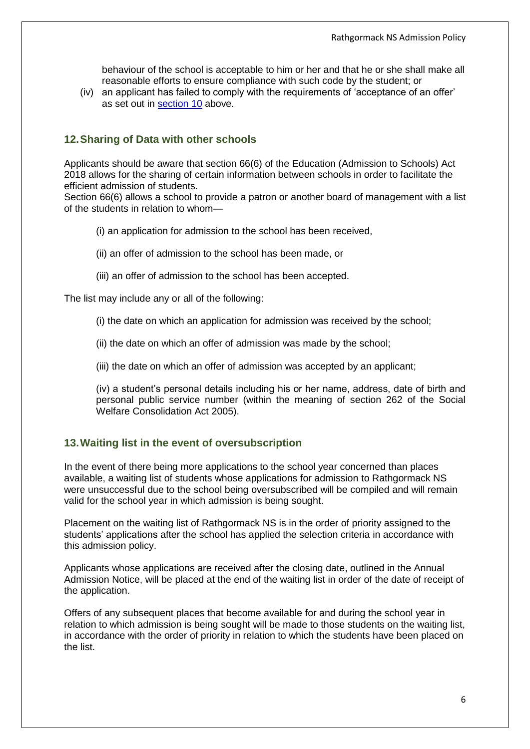behaviour of the school is acceptable to him or her and that he or she shall make all reasonable efforts to ensure compliance with such code by the student; or

(iv) an applicant has failed to comply with the requirements of 'acceptance of an offer' as set out in section 10 above.

#### **12.Sharing of Data with other schools**

Applicants should be aware that section 66(6) of the Education (Admission to Schools) Act 2018 allows for the sharing of certain information between schools in order to facilitate the efficient admission of students.

Section 66(6) allows a school to provide a patron or another board of management with a list of the students in relation to whom—

- (i) an application for admission to the school has been received,
- (ii) an offer of admission to the school has been made, or
- (iii) an offer of admission to the school has been accepted.

The list may include any or all of the following:

- (i) the date on which an application for admission was received by the school;
- (ii) the date on which an offer of admission was made by the school;
- (iii) the date on which an offer of admission was accepted by an applicant;

(iv) a student's personal details including his or her name, address, date of birth and personal public service number (within the meaning of section 262 of the Social Welfare Consolidation Act 2005).

#### **13.Waiting list in the event of oversubscription**

In the event of there being more applications to the school year concerned than places available, a waiting list of students whose applications for admission to Rathgormack NS were unsuccessful due to the school being oversubscribed will be compiled and will remain valid for the school year in which admission is being sought.

Placement on the waiting list of Rathgormack NS is in the order of priority assigned to the students' applications after the school has applied the selection criteria in accordance with this admission policy.

Applicants whose applications are received after the closing date, outlined in the Annual Admission Notice, will be placed at the end of the waiting list in order of the date of receipt of the application.

Offers of any subsequent places that become available for and during the school year in relation to which admission is being sought will be made to those students on the waiting list, in accordance with the order of priority in relation to which the students have been placed on the list.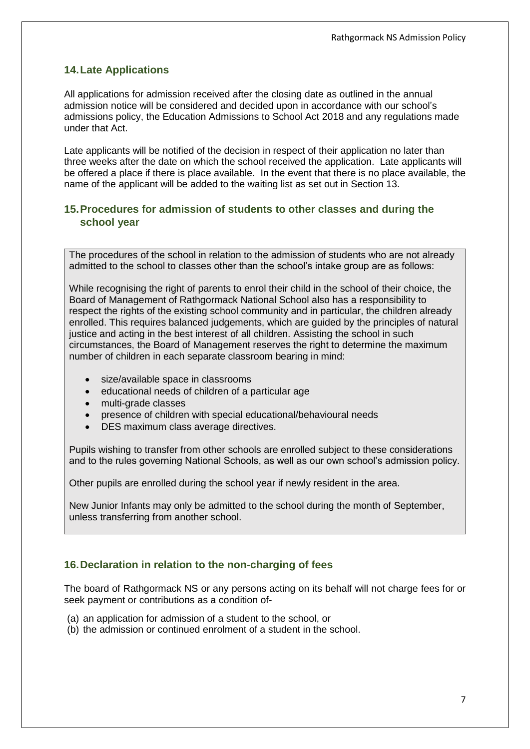# **14.Late Applications**

All applications for admission received after the closing date as outlined in the annual admission notice will be considered and decided upon in accordance with our school's admissions policy, the Education Admissions to School Act 2018 and any regulations made under that Act.

Late applicants will be notified of the decision in respect of their application no later than three weeks after the date on which the school received the application. Late applicants will be offered a place if there is place available. In the event that there is no place available, the name of the applicant will be added to the waiting list as set out in Section 13.

#### <span id="page-6-0"></span>**15.Procedures for admission of students to other classes and during the school year**

The procedures of the school in relation to the admission of students who are not already admitted to the school to classes other than the school's intake group are as follows:

While recognising the right of parents to enrol their child in the school of their choice, the Board of Management of Rathgormack National School also has a responsibility to respect the rights of the existing school community and in particular, the children already enrolled. This requires balanced judgements, which are guided by the principles of natural justice and acting in the best interest of all children. Assisting the school in such circumstances, the Board of Management reserves the right to determine the maximum number of children in each separate classroom bearing in mind:

- size/available space in classrooms
- educational needs of children of a particular age
- multi-grade classes
- presence of children with special educational/behavioural needs
- DES maximum class average directives.

Pupils wishing to transfer from other schools are enrolled subject to these considerations and to the rules governing National Schools, as well as our own school's admission policy.

Other pupils are enrolled during the school year if newly resident in the area.

New Junior Infants may only be admitted to the school during the month of September, unless transferring from another school.

# <span id="page-6-1"></span>**16.Declaration in relation to the non-charging of fees**

The board of Rathgormack NS or any persons acting on its behalf will not charge fees for or seek payment or contributions as a condition of-

- (a) an application for admission of a student to the school, or
- (b) the admission or continued enrolment of a student in the school.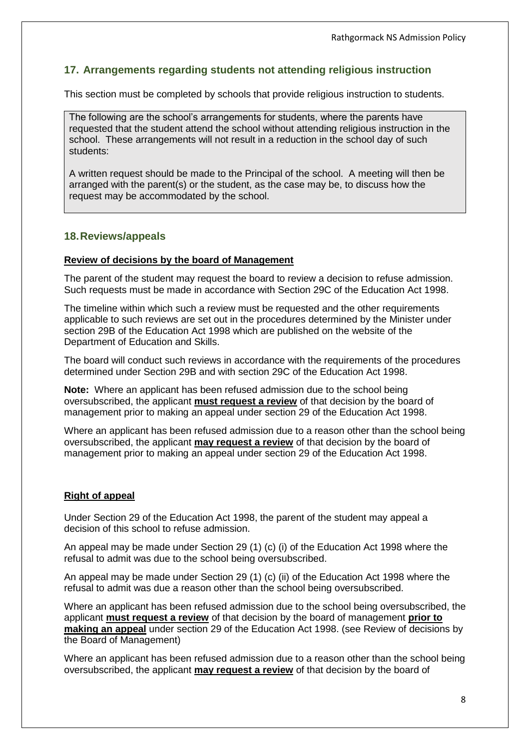# **17. Arrangements regarding students not attending religious instruction**

This section must be completed by schools that provide religious instruction to students.

The following are the school's arrangements for students, where the parents have requested that the student attend the school without attending religious instruction in the school. These arrangements will not result in a reduction in the school day of such students:

A written request should be made to the Principal of the school. A meeting will then be arranged with the parent(s) or the student, as the case may be, to discuss how the request may be accommodated by the school.

#### **18.Reviews/appeals**

#### **Review of decisions by the board of Management**

The parent of the student may request the board to review a decision to refuse admission. Such requests must be made in accordance with Section 29C of the Education Act 1998.

The timeline within which such a review must be requested and the other requirements applicable to such reviews are set out in the procedures determined by the Minister under section 29B of the Education Act 1998 which are published on the website of the Department of Education and Skills.

The board will conduct such reviews in accordance with the requirements of the procedures determined under Section 29B and with section 29C of the Education Act 1998.

**Note:** Where an applicant has been refused admission due to the school being oversubscribed, the applicant **must request a review** of that decision by the board of management prior to making an appeal under section 29 of the Education Act 1998.

Where an applicant has been refused admission due to a reason other than the school being oversubscribed, the applicant **may request a review** of that decision by the board of management prior to making an appeal under section 29 of the Education Act 1998.

#### **Right of appeal**

Under Section 29 of the Education Act 1998, the parent of the student may appeal a decision of this school to refuse admission.

An appeal may be made under Section 29 (1) (c) (i) of the Education Act 1998 where the refusal to admit was due to the school being oversubscribed.

An appeal may be made under Section 29 (1) (c) (ii) of the Education Act 1998 where the refusal to admit was due a reason other than the school being oversubscribed.

Where an applicant has been refused admission due to the school being oversubscribed, the applicant **must request a review** of that decision by the board of management **prior to making an appeal** under section 29 of the Education Act 1998. (see Review of decisions by the Board of Management)

Where an applicant has been refused admission due to a reason other than the school being oversubscribed, the applicant **may request a review** of that decision by the board of